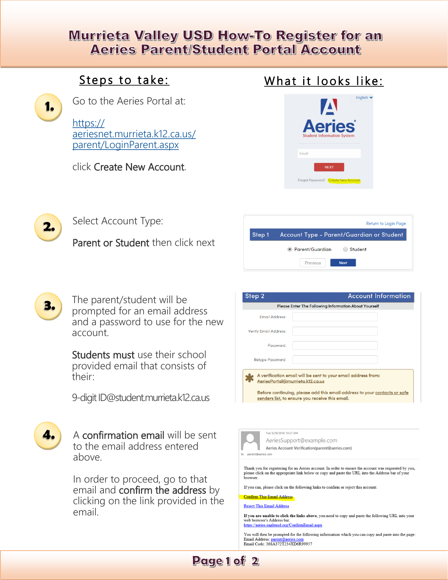## **Murrieta Valley USD How-To Register for an Aeries Parent/Student Portal Account**

## Steps to take:



Go to the Aeries Portal at:

[https://](https://aeriesnet.murrieta.k12.ca.us/parent/LoginParent.aspx) [aeriesnet.murrieta.k12.ca.us/](https://aeriesnet.murrieta.k12.ca.us/parent/LoginParent.aspx) [parent/LoginParent.aspx](https://aeriesnet.murrieta.k12.ca.us/parent/LoginParent.aspx)

### click Create New Account.







Select Account Type:

Parent or Student then click next





The parent/student will be prompted for an email address and a password to use for the new account.

Students must use their school provided email that consists of their:

9-digit ID@student.murrieta.k12.ca.us

**4.** A confirmation email will be sent to the email address entered above.

> In order to proceed, go to that email and confirm the address by clicking on the link provided in the email.

| Step 2                                                       | <b>Account Information</b>                                                |  |
|--------------------------------------------------------------|---------------------------------------------------------------------------|--|
| <b>Please Enter The Following Information About Yourself</b> |                                                                           |  |
| <b>Email Address:</b>                                        |                                                                           |  |
| <b>Verify Email Address:</b>                                 |                                                                           |  |
| Password:                                                    |                                                                           |  |
| <b>Retype Password:</b>                                      |                                                                           |  |
| AeriesPortal@murrieta.k12.ca.us                              | A verification email will be sent to your email address from:             |  |
| senders list, to ensure you receive this email.              | Before continuing, please add this email address to your contacts or safe |  |



Tue 3/29/2016 10:27 AM AeriesSupport@example.com Aeries Account Verification(parent@aeries.com)

Thank you for registering for an Aeries account. In order to ensure the account was requested by you, please click on the appropriate link below or copy and paste the URL into the Address bar of your browser.

If you can, please click on the following links to confirm or reject this account

#### **Confirm This Email Address**

**Reject This Email Address** 

If you are unable to click the links above, you need to copy and paste the following URL into your web browser's Address bar. https://aeries.eagleusd.org/ConfirmEmail.aspx

You will then be prompted for the following information which you can copy and paste into the page: Email Address: parent@aeries.com<br>Email Code: 368A372T234XD6R99957